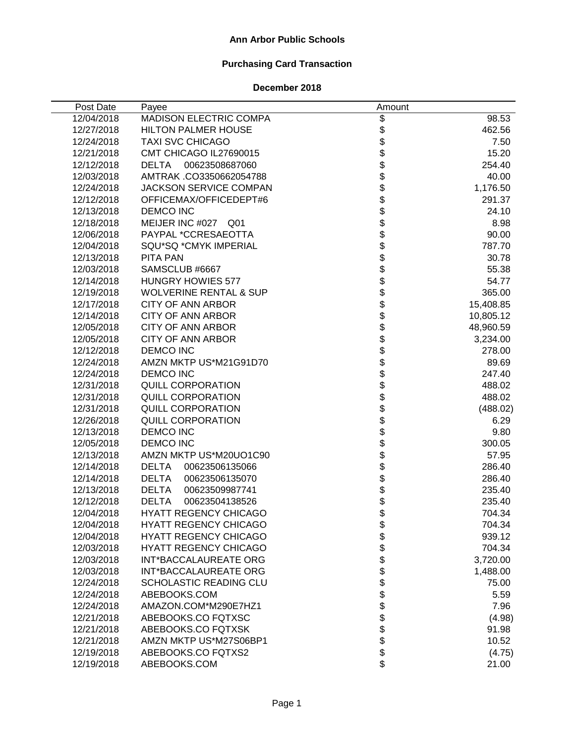### **Ann Arbor Public Schools**

# **Purchasing Card Transaction**

### **December 2018**

| Post Date  | Payee                             | Amount                                                                   |           |
|------------|-----------------------------------|--------------------------------------------------------------------------|-----------|
| 12/04/2018 | MADISON ELECTRIC COMPA            | \$                                                                       | 98.53     |
| 12/27/2018 | <b>HILTON PALMER HOUSE</b>        | \$                                                                       | 462.56    |
| 12/24/2018 | <b>TAXI SVC CHICAGO</b>           |                                                                          | 7.50      |
| 12/21/2018 | CMT CHICAGO IL27690015            |                                                                          | 15.20     |
| 12/12/2018 | DELTA<br>00623508687060           |                                                                          | 254.40    |
| 12/03/2018 | AMTRAK .CO3350662054788           |                                                                          | 40.00     |
| 12/24/2018 | <b>JACKSON SERVICE COMPAN</b>     |                                                                          | 1,176.50  |
| 12/12/2018 | OFFICEMAX/OFFICEDEPT#6            |                                                                          | 291.37    |
| 12/13/2018 | <b>DEMCO INC</b>                  |                                                                          | 24.10     |
| 12/18/2018 | MEIJER INC #027 Q01               |                                                                          | 8.98      |
| 12/06/2018 | PAYPAL *CCRESAEOTTA               |                                                                          | 90.00     |
| 12/04/2018 | SQU*SQ *CMYK IMPERIAL             |                                                                          | 787.70    |
| 12/13/2018 | <b>PITA PAN</b>                   |                                                                          | 30.78     |
| 12/03/2018 | SAMSCLUB #6667                    |                                                                          | 55.38     |
| 12/14/2018 | <b>HUNGRY HOWIES 577</b>          |                                                                          | 54.77     |
| 12/19/2018 | <b>WOLVERINE RENTAL &amp; SUP</b> |                                                                          | 365.00    |
| 12/17/2018 | <b>CITY OF ANN ARBOR</b>          |                                                                          | 15,408.85 |
| 12/14/2018 | <b>CITY OF ANN ARBOR</b>          |                                                                          | 10,805.12 |
| 12/05/2018 | <b>CITY OF ANN ARBOR</b>          |                                                                          | 48,960.59 |
| 12/05/2018 | <b>CITY OF ANN ARBOR</b>          |                                                                          | 3,234.00  |
| 12/12/2018 | <b>DEMCO INC</b>                  |                                                                          | 278.00    |
| 12/24/2018 | AMZN MKTP US*M21G91D70            |                                                                          | 89.69     |
| 12/24/2018 | <b>DEMCO INC</b>                  |                                                                          | 247.40    |
| 12/31/2018 | QUILL CORPORATION                 | \$\$\$\$\$\$\$\$\$\$\$\$\$\$\$\$\$\$\$\$\$\$\$\$\$\$\$\$\$\$\$\$\$\$\$\$ | 488.02    |
| 12/31/2018 | <b>QUILL CORPORATION</b>          |                                                                          | 488.02    |
| 12/31/2018 | <b>QUILL CORPORATION</b>          |                                                                          | (488.02)  |
| 12/26/2018 | <b>QUILL CORPORATION</b>          |                                                                          | 6.29      |
| 12/13/2018 | <b>DEMCO INC</b>                  |                                                                          | 9.80      |
| 12/05/2018 | <b>DEMCO INC</b>                  |                                                                          | 300.05    |
| 12/13/2018 | AMZN MKTP US*M20UO1C90            |                                                                          | 57.95     |
| 12/14/2018 | <b>DELTA</b><br>00623506135066    |                                                                          | 286.40    |
| 12/14/2018 | <b>DELTA</b><br>00623506135070    |                                                                          | 286.40    |
| 12/13/2018 | <b>DELTA</b><br>00623509987741    |                                                                          | 235.40    |
| 12/12/2018 | <b>DELTA</b><br>00623504138526    |                                                                          | 235.40    |
| 12/04/2018 | HYATT REGENCY CHICAGO             | \$                                                                       | 704.34    |
| 12/04/2018 | <b>HYATT REGENCY CHICAGO</b>      |                                                                          | 704.34    |
| 12/04/2018 | <b>HYATT REGENCY CHICAGO</b>      |                                                                          | 939.12    |
| 12/03/2018 | <b>HYATT REGENCY CHICAGO</b>      |                                                                          | 704.34    |
| 12/03/2018 | <b>INT*BACCALAUREATE ORG</b>      |                                                                          | 3,720.00  |
| 12/03/2018 | <b>INT*BACCALAUREATE ORG</b>      |                                                                          | 1,488.00  |
| 12/24/2018 | SCHOLASTIC READING CLU            |                                                                          | 75.00     |
| 12/24/2018 | ABEBOOKS.COM                      |                                                                          | 5.59      |
| 12/24/2018 | AMAZON.COM*M290E7HZ1              | \$\$\$\$\$\$\$\$\$\$\$\$\$\$                                             | 7.96      |
| 12/21/2018 | ABEBOOKS.CO FQTXSC                |                                                                          | (4.98)    |
| 12/21/2018 | ABEBOOKS.CO FQTXSK                |                                                                          | 91.98     |
| 12/21/2018 | AMZN MKTP US*M27S06BP1            |                                                                          | 10.52     |
| 12/19/2018 | ABEBOOKS.CO FQTXS2                |                                                                          | (4.75)    |
| 12/19/2018 | ABEBOOKS.COM                      | \$                                                                       | 21.00     |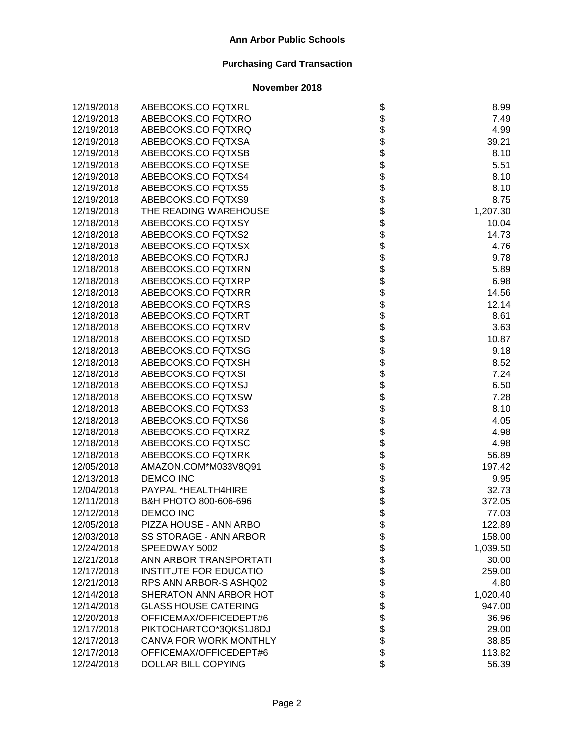| 12/19/2018 | ABEBOOKS.CO FQTXRL            |                                 | 8.99     |
|------------|-------------------------------|---------------------------------|----------|
| 12/19/2018 | ABEBOOKS.CO FQTXRO            |                                 | 7.49     |
| 12/19/2018 | ABEBOOKS.CO FQTXRQ            |                                 | 4.99     |
| 12/19/2018 | ABEBOOKS.CO FQTXSA            |                                 | 39.21    |
| 12/19/2018 | ABEBOOKS.CO FQTXSB            |                                 | 8.10     |
| 12/19/2018 | ABEBOOKS.CO FQTXSE            |                                 | 5.51     |
| 12/19/2018 | ABEBOOKS.CO FQTXS4            |                                 | 8.10     |
| 12/19/2018 | ABEBOOKS.CO FQTXS5            |                                 | 8.10     |
| 12/19/2018 | ABEBOOKS.CO FQTXS9            |                                 | 8.75     |
| 12/19/2018 | THE READING WAREHOUSE         |                                 | 1,207.30 |
| 12/18/2018 | ABEBOOKS.CO FQTXSY            |                                 | 10.04    |
| 12/18/2018 | ABEBOOKS.CO FQTXS2            |                                 | 14.73    |
| 12/18/2018 | ABEBOOKS.CO FQTXSX            |                                 | 4.76     |
| 12/18/2018 | ABEBOOKS.CO FQTXRJ            |                                 | 9.78     |
| 12/18/2018 | ABEBOOKS.CO FQTXRN            |                                 | 5.89     |
| 12/18/2018 | ABEBOOKS.CO FQTXRP            |                                 | 6.98     |
| 12/18/2018 | ABEBOOKS.CO FQTXRR            |                                 | 14.56    |
| 12/18/2018 | ABEBOOKS.CO FQTXRS            |                                 | 12.14    |
| 12/18/2018 | ABEBOOKS.CO FQTXRT            |                                 | 8.61     |
| 12/18/2018 | ABEBOOKS.CO FQTXRV            |                                 | 3.63     |
| 12/18/2018 | ABEBOOKS.CO FQTXSD            |                                 | 10.87    |
| 12/18/2018 | ABEBOOKS.CO FQTXSG            | ֍֎֍֍֍֍֍֍֍֍֍֍֍֍֍֍֍֍֍֍֍֍֍֍֍֍֍֍֍֍֍ | 9.18     |
| 12/18/2018 | ABEBOOKS.CO FQTXSH            |                                 | 8.52     |
| 12/18/2018 | ABEBOOKS.CO FQTXSI            |                                 | 7.24     |
| 12/18/2018 | ABEBOOKS.CO FQTXSJ            |                                 | 6.50     |
| 12/18/2018 | ABEBOOKS.CO FQTXSW            |                                 | 7.28     |
| 12/18/2018 | ABEBOOKS.CO FQTXS3            |                                 | 8.10     |
| 12/18/2018 | ABEBOOKS.CO FQTXS6            |                                 | 4.05     |
| 12/18/2018 | ABEBOOKS.CO FQTXRZ            |                                 | 4.98     |
| 12/18/2018 | ABEBOOKS.CO FQTXSC            |                                 | 4.98     |
| 12/18/2018 | ABEBOOKS.CO FQTXRK            |                                 | 56.89    |
| 12/05/2018 | AMAZON.COM*M033V8Q91          |                                 | 197.42   |
| 12/13/2018 | <b>DEMCO INC</b>              | \$                              | 9.95     |
| 12/04/2018 | PAYPAL *HEALTH4HIRE           | \$                              | 32.73    |
| 12/11/2018 | B&H PHOTO 800-606-696         | \$<br>\$                        | 372.05   |
| 12/12/2018 | <b>DEMCO INC</b>              |                                 | 77.03    |
| 12/05/2018 | PIZZA HOUSE - ANN ARBO        | \$                              | 122.89   |
| 12/03/2018 | SS STORAGE - ANN ARBOR        |                                 | 158.00   |
| 12/24/2018 | SPEEDWAY 5002                 |                                 | 1,039.50 |
| 12/21/2018 | ANN ARBOR TRANSPORTATI        |                                 | 30.00    |
| 12/17/2018 | <b>INSTITUTE FOR EDUCATIO</b> |                                 | 259.00   |
| 12/21/2018 | RPS ANN ARBOR-S ASHQ02        |                                 | 4.80     |
| 12/14/2018 | SHERATON ANN ARBOR HOT        |                                 | 1,020.40 |
| 12/14/2018 | <b>GLASS HOUSE CATERING</b>   |                                 | 947.00   |
| 12/20/2018 | OFFICEMAX/OFFICEDEPT#6        | <b>8888888888</b>               | 36.96    |
| 12/17/2018 | PIKTOCHARTCO*3QKS1J8DJ        |                                 | 29.00    |
| 12/17/2018 | CANVA FOR WORK MONTHLY        |                                 | 38.85    |
| 12/17/2018 | OFFICEMAX/OFFICEDEPT#6        |                                 | 113.82   |
| 12/24/2018 | DOLLAR BILL COPYING           | \$                              | 56.39    |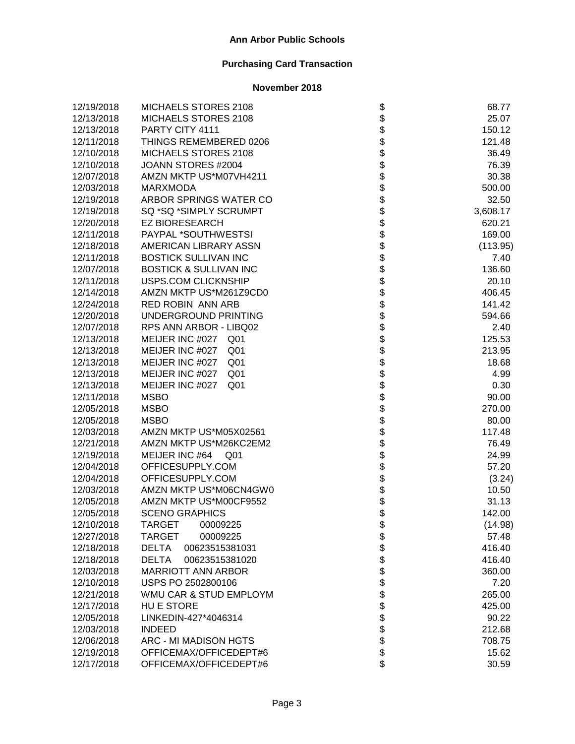| 12/19/2018 | MICHAELS STORES 2108               | \$                         | 68.77    |
|------------|------------------------------------|----------------------------|----------|
| 12/13/2018 | MICHAELS STORES 2108               |                            | 25.07    |
| 12/13/2018 | PARTY CITY 4111                    |                            | 150.12   |
| 12/11/2018 | THINGS REMEMBERED 0206             |                            | 121.48   |
| 12/10/2018 | MICHAELS STORES 2108               |                            | 36.49    |
| 12/10/2018 | JOANN STORES #2004                 |                            | 76.39    |
| 12/07/2018 | AMZN MKTP US*M07VH4211             |                            | 30.38    |
| 12/03/2018 | <b>MARXMODA</b>                    |                            | 500.00   |
| 12/19/2018 | ARBOR SPRINGS WATER CO             |                            | 32.50    |
| 12/19/2018 | SQ *SQ *SIMPLY SCRUMPT             |                            | 3,608.17 |
| 12/20/2018 | <b>EZ BIORESEARCH</b>              |                            | 620.21   |
| 12/11/2018 | PAYPAL *SOUTHWESTSI                |                            | 169.00   |
| 12/18/2018 | AMERICAN LIBRARY ASSN              |                            | (113.95) |
| 12/11/2018 | <b>BOSTICK SULLIVAN INC</b>        |                            | 7.40     |
| 12/07/2018 | <b>BOSTICK &amp; SULLIVAN INC</b>  |                            | 136.60   |
| 12/11/2018 | USPS.COM CLICKNSHIP                |                            | 20.10    |
| 12/14/2018 | AMZN MKTP US*M261Z9CD0             |                            | 406.45   |
| 12/24/2018 | RED ROBIN ANN ARB                  |                            | 141.42   |
| 12/20/2018 | UNDERGROUND PRINTING               |                            | 594.66   |
| 12/07/2018 | RPS ANN ARBOR - LIBQ02             |                            | 2.40     |
| 12/13/2018 | MEIJER INC #027<br>Q <sub>01</sub> |                            | 125.53   |
| 12/13/2018 | MEIJER INC #027<br>Q <sub>01</sub> |                            | 213.95   |
| 12/13/2018 | MEIJER INC #027<br>Q <sub>01</sub> |                            | 18.68    |
| 12/13/2018 | MEIJER INC #027<br>Q <sub>01</sub> |                            | 4.99     |
| 12/13/2018 | MEIJER INC #027<br>Q <sub>01</sub> |                            | 0.30     |
| 12/11/2018 | <b>MSBO</b>                        |                            | 90.00    |
| 12/05/2018 | <b>MSBO</b>                        |                            | 270.00   |
| 12/05/2018 | <b>MSBO</b>                        |                            | 80.00    |
| 12/03/2018 | AMZN MKTP US*M05X02561             |                            | 117.48   |
| 12/21/2018 | AMZN MKTP US*M26KC2EM2             |                            | 76.49    |
| 12/19/2018 | MEIJER INC #64 Q01                 |                            | 24.99    |
| 12/04/2018 | OFFICESUPPLY.COM                   |                            | 57.20    |
| 12/04/2018 | OFFICESUPPLY.COM                   |                            | (3.24)   |
| 12/03/2018 | AMZN MKTP US*M06CN4GW0             |                            | 10.50    |
| 12/05/2018 | AMZN MKTP US*M00CF9552             |                            | 31.13    |
| 12/05/2018 | <b>SCENO GRAPHICS</b>              |                            | 142.00   |
| 12/10/2018 | TARGET<br>00009225                 | \$                         | (14.98)  |
| 12/27/2018 | <b>TARGET</b><br>00009225          |                            | 57.48    |
| 12/18/2018 | 00623515381031<br><b>DELTA</b>     |                            | 416.40   |
| 12/18/2018 | <b>DELTA</b><br>00623515381020     |                            | 416.40   |
| 12/03/2018 | <b>MARRIOTT ANN ARBOR</b>          |                            | 360.00   |
| 12/10/2018 | USPS PO 2502800106                 |                            | 7.20     |
| 12/21/2018 | WMU CAR & STUD EMPLOYM             |                            | 265.00   |
| 12/17/2018 | HU E STORE                         |                            | 425.00   |
| 12/05/2018 | LINKEDIN-427*4046314               |                            | 90.22    |
| 12/03/2018 | <b>INDEED</b>                      | \$\$\$\$\$\$\$\$\$\$\$\$\$ | 212.68   |
| 12/06/2018 | ARC - MI MADISON HGTS              |                            | 708.75   |
| 12/19/2018 | OFFICEMAX/OFFICEDEPT#6             |                            | 15.62    |
| 12/17/2018 | OFFICEMAX/OFFICEDEPT#6             |                            | 30.59    |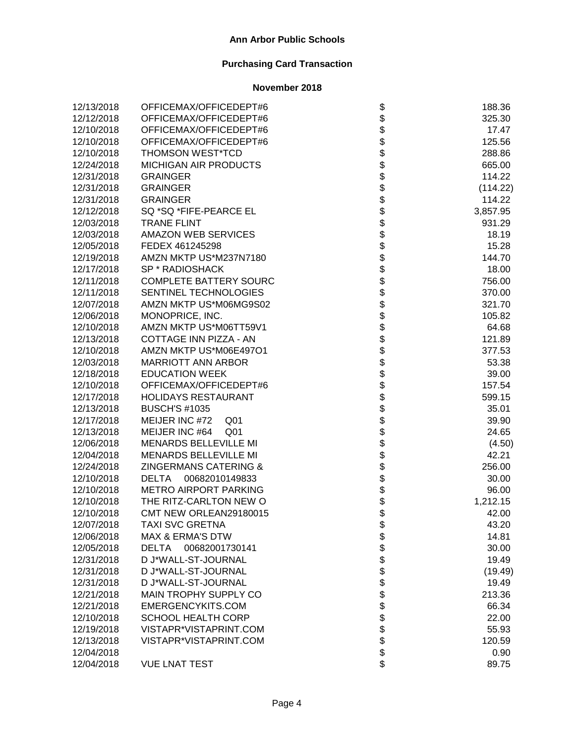| 12/13/2018 | OFFICEMAX/OFFICEDEPT#6            |                   | 188.36   |
|------------|-----------------------------------|-------------------|----------|
| 12/12/2018 | OFFICEMAX/OFFICEDEPT#6            |                   | 325.30   |
| 12/10/2018 | OFFICEMAX/OFFICEDEPT#6            |                   | 17.47    |
| 12/10/2018 | OFFICEMAX/OFFICEDEPT#6            |                   | 125.56   |
| 12/10/2018 | <b>THOMSON WEST*TCD</b>           |                   | 288.86   |
| 12/24/2018 | MICHIGAN AIR PRODUCTS             |                   | 665.00   |
| 12/31/2018 | <b>GRAINGER</b>                   |                   | 114.22   |
| 12/31/2018 | <b>GRAINGER</b>                   |                   | (114.22) |
| 12/31/2018 | <b>GRAINGER</b>                   |                   | 114.22   |
| 12/12/2018 | SQ *SQ *FIFE-PEARCE EL            |                   | 3,857.95 |
| 12/03/2018 | <b>TRANE FLINT</b>                |                   | 931.29   |
| 12/03/2018 | AMAZON WEB SERVICES               |                   | 18.19    |
| 12/05/2018 | FEDEX 461245298                   |                   | 15.28    |
| 12/19/2018 | AMZN MKTP US*M237N7180            |                   | 144.70   |
| 12/17/2018 | SP * RADIOSHACK                   |                   | 18.00    |
| 12/11/2018 | <b>COMPLETE BATTERY SOURC</b>     |                   | 756.00   |
| 12/11/2018 | SENTINEL TECHNOLOGIES             |                   | 370.00   |
| 12/07/2018 | AMZN MKTP US*M06MG9S02            |                   | 321.70   |
| 12/06/2018 | MONOPRICE, INC.                   |                   | 105.82   |
| 12/10/2018 | AMZN MKTP US*M06TT59V1            |                   | 64.68    |
| 12/13/2018 | COTTAGE INN PIZZA - AN            |                   | 121.89   |
| 12/10/2018 | AMZN MKTP US*M06E497O1            |                   | 377.53   |
| 12/03/2018 | <b>MARRIOTT ANN ARBOR</b>         |                   | 53.38    |
| 12/18/2018 | <b>EDUCATION WEEK</b>             |                   | 39.00    |
| 12/10/2018 | OFFICEMAX/OFFICEDEPT#6            |                   | 157.54   |
| 12/17/2018 | <b>HOLIDAYS RESTAURANT</b>        |                   | 599.15   |
| 12/13/2018 | <b>BUSCH'S #1035</b>              |                   | 35.01    |
| 12/17/2018 | MEIJER INC #72<br>Q <sub>01</sub> |                   | 39.90    |
| 12/13/2018 | MEIJER INC #64<br>Q <sub>01</sub> |                   | 24.65    |
| 12/06/2018 | <b>MENARDS BELLEVILLE MI</b>      |                   | (4.50)   |
| 12/04/2018 | <b>MENARDS BELLEVILLE MI</b>      |                   | 42.21    |
| 12/24/2018 | ZINGERMANS CATERING &             |                   | 256.00   |
| 12/10/2018 | 00682010149833<br><b>DELTA</b>    |                   | 30.00    |
| 12/10/2018 | <b>METRO AIRPORT PARKING</b>      |                   | 96.00    |
| 12/10/2018 | THE RITZ-CARLTON NEW O            |                   | 1,212.15 |
| 12/10/2018 | CMT NEW ORLEAN29180015            |                   | 42.00    |
| 12/07/2018 | TAXI SVC GRETNA                   | \$                | 43.20    |
| 12/06/2018 | <b>MAX &amp; ERMA'S DTW</b>       |                   | 14.81    |
| 12/05/2018 | 00682001730141<br><b>DELTA</b>    |                   | 30.00    |
| 12/31/2018 | D J*WALL-ST-JOURNAL               |                   | 19.49    |
| 12/31/2018 | D J*WALL-ST-JOURNAL               |                   | (19.49)  |
| 12/31/2018 | D J*WALL-ST-JOURNAL               |                   | 19.49    |
| 12/21/2018 | MAIN TROPHY SUPPLY CO             |                   | 213.36   |
| 12/21/2018 | EMERGENCYKITS.COM                 |                   | 66.34    |
| 12/10/2018 | <b>SCHOOL HEALTH CORP</b>         |                   | 22.00    |
| 12/19/2018 | VISTAPR*VISTAPRINT.COM            | <b>8888888888</b> | 55.93    |
| 12/13/2018 | VISTAPR*VISTAPRINT.COM            |                   | 120.59   |
| 12/04/2018 |                                   |                   | 0.90     |
| 12/04/2018 | <b>VUE LNAT TEST</b>              | \$                | 89.75    |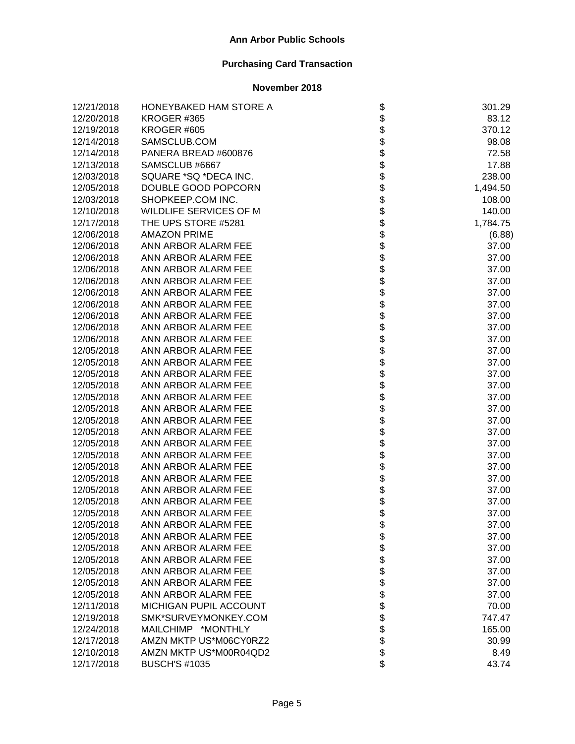| 12/21/2018 | HONEYBAKED HAM STORE A | \$                                 | 301.29   |
|------------|------------------------|------------------------------------|----------|
| 12/20/2018 | KROGER #365            | \$                                 | 83.12    |
| 12/19/2018 | KROGER #605            |                                    | 370.12   |
| 12/14/2018 | SAMSCLUB.COM           | <b>88888888</b>                    | 98.08    |
| 12/14/2018 | PANERA BREAD #600876   |                                    | 72.58    |
| 12/13/2018 | SAMSCLUB #6667         |                                    | 17.88    |
| 12/03/2018 | SQUARE *SQ *DECA INC.  |                                    | 238.00   |
| 12/05/2018 | DOUBLE GOOD POPCORN    |                                    | 1,494.50 |
| 12/03/2018 | SHOPKEEP.COM INC.      |                                    | 108.00   |
| 12/10/2018 | WILDLIFE SERVICES OF M |                                    | 140.00   |
| 12/17/2018 | THE UPS STORE #5281    |                                    | 1,784.75 |
| 12/06/2018 | <b>AMAZON PRIME</b>    | \$                                 | (6.88)   |
| 12/06/2018 | ANN ARBOR ALARM FEE    |                                    | 37.00    |
| 12/06/2018 | ANN ARBOR ALARM FEE    |                                    | 37.00    |
| 12/06/2018 | ANN ARBOR ALARM FEE    |                                    | 37.00    |
| 12/06/2018 | ANN ARBOR ALARM FEE    |                                    | 37.00    |
| 12/06/2018 | ANN ARBOR ALARM FEE    |                                    | 37.00    |
| 12/06/2018 | ANN ARBOR ALARM FEE    |                                    | 37.00    |
| 12/06/2018 | ANN ARBOR ALARM FEE    |                                    | 37.00    |
| 12/06/2018 | ANN ARBOR ALARM FEE    |                                    | 37.00    |
| 12/06/2018 | ANN ARBOR ALARM FEE    |                                    | 37.00    |
| 12/05/2018 | ANN ARBOR ALARM FEE    |                                    | 37.00    |
| 12/05/2018 | ANN ARBOR ALARM FEE    |                                    | 37.00    |
| 12/05/2018 | ANN ARBOR ALARM FEE    |                                    | 37.00    |
| 12/05/2018 | ANN ARBOR ALARM FEE    |                                    | 37.00    |
| 12/05/2018 | ANN ARBOR ALARM FEE    | \$\$\$\$\$\$\$\$\$\$\$\$\$\$\$\$\$ | 37.00    |
| 12/05/2018 | ANN ARBOR ALARM FEE    |                                    | 37.00    |
| 12/05/2018 | ANN ARBOR ALARM FEE    |                                    | 37.00    |
| 12/05/2018 | ANN ARBOR ALARM FEE    | <b>8888888</b>                     | 37.00    |
| 12/05/2018 | ANN ARBOR ALARM FEE    |                                    | 37.00    |
| 12/05/2018 | ANN ARBOR ALARM FEE    |                                    | 37.00    |
| 12/05/2018 | ANN ARBOR ALARM FEE    |                                    | 37.00    |
| 12/05/2018 | ANN ARBOR ALARM FEE    |                                    | 37.00    |
| 12/05/2018 | ANN ARBOR ALARM FEE    |                                    | 37.00    |
| 12/05/2018 | ANN ARBOR ALARM FEE    |                                    | 37.00    |
| 12/05/2018 | ANN ARBOR ALARM FEE    | \$                                 | 37.00    |
| 12/05/2018 | ANN ARBOR ALARM FEE    | \$                                 | 37.00    |
| 12/05/2018 | ANN ARBOR ALARM FEE    |                                    | 37.00    |
| 12/05/2018 | ANN ARBOR ALARM FEE    |                                    | 37.00    |
| 12/05/2018 | ANN ARBOR ALARM FEE    |                                    | 37.00    |
| 12/05/2018 | ANN ARBOR ALARM FEE    |                                    | 37.00    |
| 12/05/2018 | ANN ARBOR ALARM FEE    |                                    | 37.00    |
| 12/05/2018 | ANN ARBOR ALARM FEE    |                                    | 37.00    |
| 12/11/2018 | MICHIGAN PUPIL ACCOUNT |                                    | 70.00    |
| 12/19/2018 | SMK*SURVEYMONKEY.COM   | \$\$\$\$\$\$\$\$\$\$\$\$\$         | 747.47   |
| 12/24/2018 | MAILCHIMP *MONTHLY     |                                    | 165.00   |
| 12/17/2018 | AMZN MKTP US*M06CY0RZ2 |                                    | 30.99    |
| 12/10/2018 | AMZN MKTP US*M00R04QD2 |                                    | 8.49     |
| 12/17/2018 | <b>BUSCH'S #1035</b>   |                                    | 43.74    |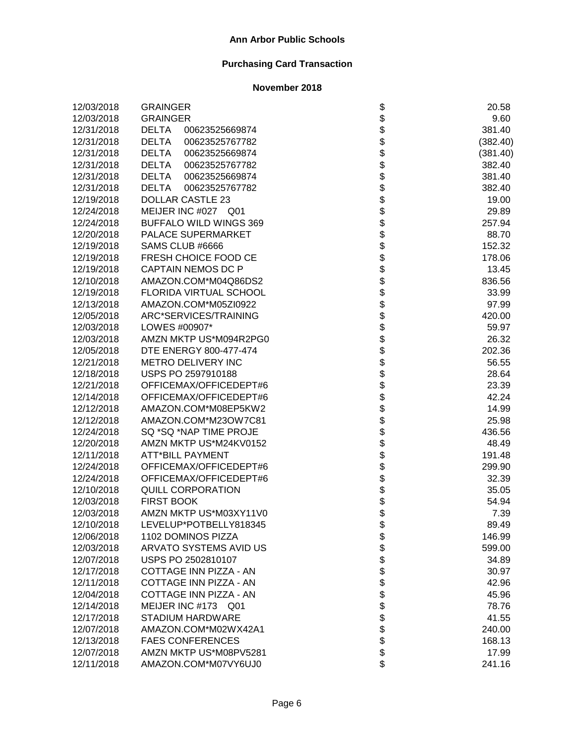| 12/03/2018 | <b>GRAINGER</b>                |                    | 20.58    |
|------------|--------------------------------|--------------------|----------|
| 12/03/2018 | <b>GRAINGER</b>                |                    | 9.60     |
| 12/31/2018 | <b>DELTA</b><br>00623525669874 |                    | 381.40   |
| 12/31/2018 | <b>DELTA</b><br>00623525767782 |                    | (382.40) |
| 12/31/2018 | <b>DELTA</b><br>00623525669874 |                    | (381.40) |
| 12/31/2018 | <b>DELTA</b><br>00623525767782 |                    | 382.40   |
| 12/31/2018 | <b>DELTA</b><br>00623525669874 |                    | 381.40   |
| 12/31/2018 | <b>DELTA</b><br>00623525767782 |                    | 382.40   |
| 12/19/2018 | <b>DOLLAR CASTLE 23</b>        |                    | 19.00    |
| 12/24/2018 | MEIJER INC #027 Q01            |                    | 29.89    |
| 12/24/2018 | BUFFALO WILD WINGS 369         |                    | 257.94   |
| 12/20/2018 | PALACE SUPERMARKET             |                    | 88.70    |
| 12/19/2018 | SAMS CLUB #6666                |                    | 152.32   |
| 12/19/2018 | FRESH CHOICE FOOD CE           |                    | 178.06   |
| 12/19/2018 | <b>CAPTAIN NEMOS DC P</b>      |                    | 13.45    |
| 12/10/2018 | AMAZON.COM*M04Q86DS2           |                    | 836.56   |
| 12/19/2018 | FLORIDA VIRTUAL SCHOOL         |                    | 33.99    |
| 12/13/2018 | AMAZON.COM*M05ZI0922           |                    | 97.99    |
| 12/05/2018 | ARC*SERVICES/TRAINING          |                    | 420.00   |
| 12/03/2018 | LOWES #00907*                  |                    | 59.97    |
| 12/03/2018 | AMZN MKTP US*M094R2PG0         |                    | 26.32    |
| 12/05/2018 | DTE ENERGY 800-477-474         |                    | 202.36   |
| 12/21/2018 | METRO DELIVERY INC             |                    | 56.55    |
| 12/18/2018 | USPS PO 2597910188             |                    | 28.64    |
| 12/21/2018 | OFFICEMAX/OFFICEDEPT#6         |                    | 23.39    |
| 12/14/2018 | OFFICEMAX/OFFICEDEPT#6         |                    | 42.24    |
| 12/12/2018 | AMAZON.COM*M08EP5KW2           |                    | 14.99    |
| 12/12/2018 | AMAZON.COM*M23OW7C81           |                    | 25.98    |
| 12/24/2018 | SQ *SQ *NAP TIME PROJE         |                    | 436.56   |
| 12/20/2018 | AMZN MKTP US*M24KV0152         |                    | 48.49    |
| 12/11/2018 | <b>ATT*BILL PAYMENT</b>        |                    | 191.48   |
| 12/24/2018 | OFFICEMAX/OFFICEDEPT#6         |                    | 299.90   |
| 12/24/2018 | OFFICEMAX/OFFICEDEPT#6         |                    | 32.39    |
| 12/10/2018 | <b>QUILL CORPORATION</b>       |                    | 35.05    |
| 12/03/2018 | <b>FIRST BOOK</b>              |                    | 54.94    |
| 12/03/2018 | AMZN MKTP US*M03XY11V0         |                    | 7.39     |
| 12/10/2018 | LEVELUP*POTBELLY818345         | Ф                  | 89.49    |
| 12/06/2018 | 1102 DOMINOS PIZZA             |                    | 146.99   |
| 12/03/2018 | ARVATO SYSTEMS AVID US         |                    | 599.00   |
| 12/07/2018 | USPS PO 2502810107             |                    | 34.89    |
| 12/17/2018 | COTTAGE INN PIZZA - AN         |                    | 30.97    |
| 12/11/2018 | COTTAGE INN PIZZA - AN         |                    | 42.96    |
| 12/04/2018 | COTTAGE INN PIZZA - AN         |                    | 45.96    |
| 12/14/2018 | MEIJER INC #173 Q01            |                    | 78.76    |
| 12/17/2018 | <b>STADIUM HARDWARE</b>        | <b>88888888888</b> | 41.55    |
| 12/07/2018 | AMAZON.COM*M02WX42A1           |                    | 240.00   |
| 12/13/2018 | <b>FAES CONFERENCES</b>        |                    | 168.13   |
| 12/07/2018 | AMZN MKTP US*M08PV5281         |                    | 17.99    |
| 12/11/2018 | AMAZON.COM*M07VY6UJ0           | \$                 | 241.16   |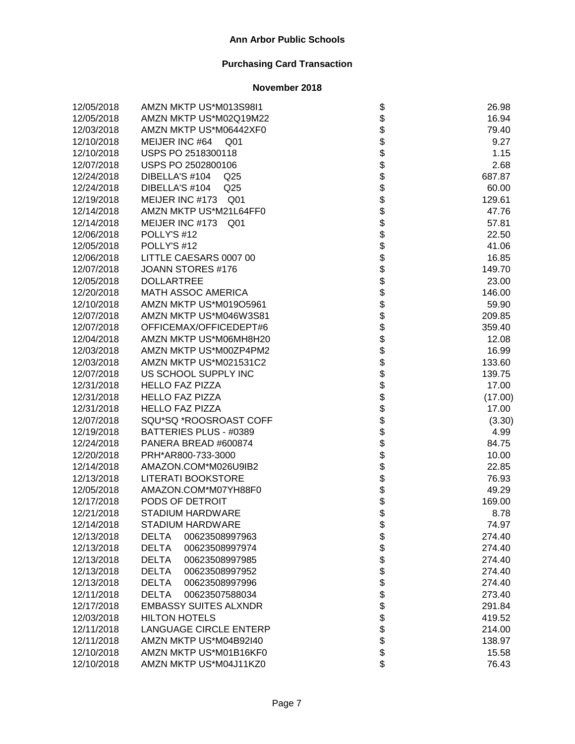| 12/05/2018 | AMZN MKTP US*M013S98I1            |                   | 26.98   |
|------------|-----------------------------------|-------------------|---------|
| 12/05/2018 | AMZN MKTP US*M02Q19M22            |                   | 16.94   |
| 12/03/2018 | AMZN MKTP US*M06442XF0            |                   | 79.40   |
| 12/10/2018 | MEIJER INC #64<br>Q <sub>01</sub> |                   | 9.27    |
| 12/10/2018 | USPS PO 2518300118                |                   | 1.15    |
| 12/07/2018 | USPS PO 2502800106                |                   | 2.68    |
| 12/24/2018 | DIBELLA'S #104<br>Q <sub>25</sub> |                   | 687.87  |
| 12/24/2018 | DIBELLA'S #104<br>Q <sub>25</sub> |                   | 60.00   |
| 12/19/2018 | MEIJER INC #173 Q01               |                   | 129.61  |
| 12/14/2018 | AMZN MKTP US*M21L64FF0            |                   | 47.76   |
| 12/14/2018 | MEIJER INC #173 Q01               |                   | 57.81   |
| 12/06/2018 | POLLY'S #12                       |                   | 22.50   |
| 12/05/2018 | POLLY'S #12                       |                   | 41.06   |
| 12/06/2018 | LITTLE CAESARS 0007 00            |                   | 16.85   |
| 12/07/2018 | JOANN STORES #176                 |                   | 149.70  |
| 12/05/2018 | <b>DOLLARTREE</b>                 |                   | 23.00   |
| 12/20/2018 | <b>MATH ASSOC AMERICA</b>         |                   | 146.00  |
| 12/10/2018 | AMZN MKTP US*M019O5961            |                   | 59.90   |
| 12/07/2018 | AMZN MKTP US*M046W3S81            |                   | 209.85  |
| 12/07/2018 | OFFICEMAX/OFFICEDEPT#6            |                   | 359.40  |
| 12/04/2018 | AMZN MKTP US*M06MH8H20            |                   | 12.08   |
| 12/03/2018 | AMZN MKTP US*M00ZP4PM2            |                   | 16.99   |
| 12/03/2018 | AMZN MKTP US*M021531C2            |                   | 133.60  |
| 12/07/2018 | US SCHOOL SUPPLY INC              |                   | 139.75  |
| 12/31/2018 | <b>HELLO FAZ PIZZA</b>            |                   | 17.00   |
| 12/31/2018 | <b>HELLO FAZ PIZZA</b>            |                   | (17.00) |
| 12/31/2018 | <b>HELLO FAZ PIZZA</b>            |                   | 17.00   |
| 12/07/2018 | SQU*SQ *ROOSROAST COFF            |                   | (3.30)  |
| 12/19/2018 | BATTERIES PLUS - #0389            |                   | 4.99    |
| 12/24/2018 | PANERA BREAD #600874              |                   | 84.75   |
| 12/20/2018 | PRH*AR800-733-3000                |                   | 10.00   |
| 12/14/2018 | AMAZON.COM*M026U9IB2              |                   | 22.85   |
| 12/13/2018 | <b>LITERATI BOOKSTORE</b>         |                   | 76.93   |
| 12/05/2018 | AMAZON.COM*M07YH88F0              |                   | 49.29   |
| 12/17/2018 | PODS OF DETROIT                   |                   | 169.00  |
| 12/21/2018 | <b>STADIUM HARDWARE</b>           |                   | 8.78    |
| 12/14/2018 | STADIUM HARDWARE                  | \$                | 74.97   |
| 12/13/2018 | <b>DELTA</b><br>00623508997963    |                   | 274.40  |
| 12/13/2018 | <b>DELTA</b><br>00623508997974    |                   | 274.40  |
| 12/13/2018 | 00623508997985<br><b>DELTA</b>    |                   | 274.40  |
| 12/13/2018 | <b>DELTA</b><br>00623508997952    |                   | 274.40  |
| 12/13/2018 | <b>DELTA</b><br>00623508997996    |                   | 274.40  |
| 12/11/2018 | <b>DELTA</b><br>00623507588034    |                   | 273.40  |
| 12/17/2018 | <b>EMBASSY SUITES ALXNDR</b>      |                   | 291.84  |
| 12/03/2018 | <b>HILTON HOTELS</b>              |                   | 419.52  |
| 12/11/2018 | <b>LANGUAGE CIRCLE ENTERP</b>     | <b>8888888888</b> | 214.00  |
| 12/11/2018 | AMZN MKTP US*M04B92I40            |                   | 138.97  |
| 12/10/2018 | AMZN MKTP US*M01B16KF0            |                   | 15.58   |
| 12/10/2018 | AMZN MKTP US*M04J11KZ0            | \$                | 76.43   |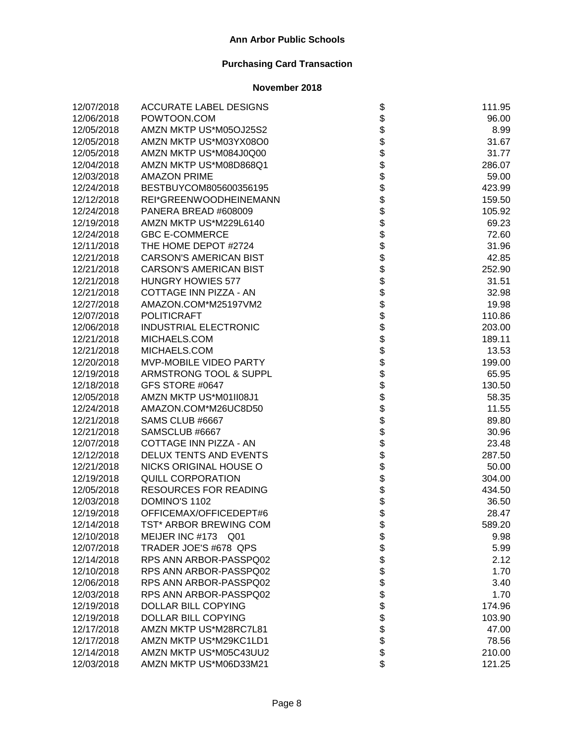| 12/07/2018 | <b>ACCURATE LABEL DESIGNS</b> |                    | 111.95 |
|------------|-------------------------------|--------------------|--------|
| 12/06/2018 | POWTOON.COM                   |                    | 96.00  |
| 12/05/2018 | AMZN MKTP US*M05OJ25S2        |                    | 8.99   |
| 12/05/2018 | AMZN MKTP US*M03YX08O0        |                    | 31.67  |
| 12/05/2018 | AMZN MKTP US*M084J0Q00        |                    | 31.77  |
| 12/04/2018 | AMZN MKTP US*M08D868Q1        |                    | 286.07 |
| 12/03/2018 | <b>AMAZON PRIME</b>           |                    | 59.00  |
| 12/24/2018 | BESTBUYCOM805600356195        |                    | 423.99 |
| 12/12/2018 | REI*GREENWOODHEINEMANN        |                    | 159.50 |
| 12/24/2018 | PANERA BREAD #608009          |                    | 105.92 |
| 12/19/2018 | AMZN MKTP US*M229L6140        |                    | 69.23  |
| 12/24/2018 | <b>GBC E-COMMERCE</b>         |                    | 72.60  |
| 12/11/2018 | THE HOME DEPOT #2724          |                    | 31.96  |
| 12/21/2018 | <b>CARSON'S AMERICAN BIST</b> |                    | 42.85  |
| 12/21/2018 | <b>CARSON'S AMERICAN BIST</b> |                    | 252.90 |
| 12/21/2018 | <b>HUNGRY HOWIES 577</b>      |                    | 31.51  |
| 12/21/2018 | COTTAGE INN PIZZA - AN        |                    | 32.98  |
| 12/27/2018 | AMAZON.COM*M25197VM2          |                    | 19.98  |
| 12/07/2018 | <b>POLITICRAFT</b>            |                    | 110.86 |
| 12/06/2018 | INDUSTRIAL ELECTRONIC         |                    | 203.00 |
| 12/21/2018 | MICHAELS.COM                  |                    | 189.11 |
| 12/21/2018 | MICHAELS.COM                  |                    | 13.53  |
| 12/20/2018 | MVP-MOBILE VIDEO PARTY        |                    | 199.00 |
| 12/19/2018 | ARMSTRONG TOOL & SUPPL        |                    | 65.95  |
| 12/18/2018 | GFS STORE #0647               |                    | 130.50 |
| 12/05/2018 | AMZN MKTP US*M01II08J1        |                    | 58.35  |
| 12/24/2018 | AMAZON.COM*M26UC8D50          |                    | 11.55  |
| 12/21/2018 | SAMS CLUB #6667               |                    | 89.80  |
| 12/21/2018 | SAMSCLUB #6667                |                    | 30.96  |
| 12/07/2018 | COTTAGE INN PIZZA - AN        |                    | 23.48  |
| 12/12/2018 | DELUX TENTS AND EVENTS        |                    | 287.50 |
| 12/21/2018 | NICKS ORIGINAL HOUSE O        |                    | 50.00  |
| 12/19/2018 | <b>QUILL CORPORATION</b>      |                    | 304.00 |
| 12/05/2018 | <b>RESOURCES FOR READING</b>  |                    | 434.50 |
| 12/03/2018 | DOMINO'S 1102                 |                    | 36.50  |
| 12/19/2018 | OFFICEMAX/OFFICEDEPT#6        |                    | 28.47  |
| 12/14/2018 | TST* ARBOR BREWING COM        | \$                 | 589.20 |
| 12/10/2018 | MEIJER INC #173<br>Q01        |                    | 9.98   |
| 12/07/2018 | TRADER JOE'S #678 QPS         |                    | 5.99   |
| 12/14/2018 | RPS ANN ARBOR-PASSPQ02        |                    | 2.12   |
| 12/10/2018 | RPS ANN ARBOR-PASSPQ02        |                    | 1.70   |
| 12/06/2018 | RPS ANN ARBOR-PASSPQ02        |                    | 3.40   |
| 12/03/2018 | RPS ANN ARBOR-PASSPQ02        |                    | 1.70   |
| 12/19/2018 | DOLLAR BILL COPYING           |                    | 174.96 |
| 12/19/2018 | DOLLAR BILL COPYING           | <b>88888888888</b> | 103.90 |
| 12/17/2018 | AMZN MKTP US*M28RC7L81        |                    | 47.00  |
| 12/17/2018 | AMZN MKTP US*M29KC1LD1        |                    | 78.56  |
| 12/14/2018 | AMZN MKTP US*M05C43UU2        |                    | 210.00 |
| 12/03/2018 | AMZN MKTP US*M06D33M21        | \$                 | 121.25 |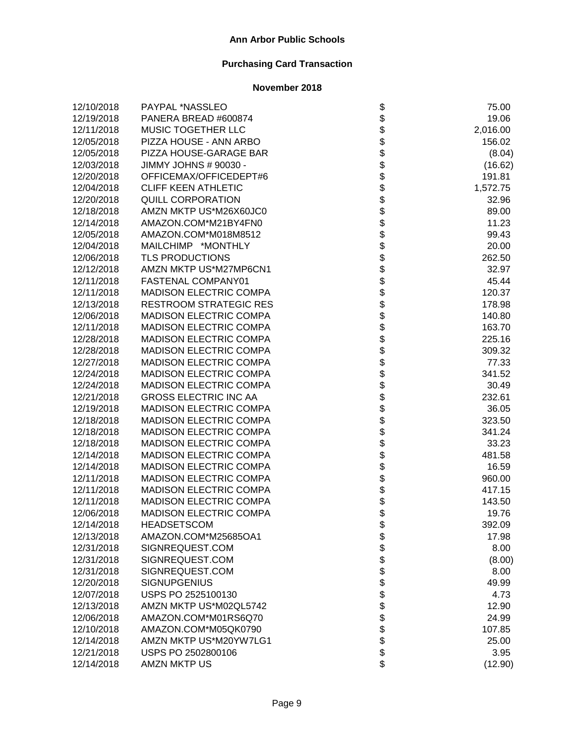| 12/10/2018 | PAYPAL *NASSLEO               |                    | 75.00    |
|------------|-------------------------------|--------------------|----------|
| 12/19/2018 | PANERA BREAD #600874          |                    | 19.06    |
| 12/11/2018 | MUSIC TOGETHER LLC            |                    | 2,016.00 |
| 12/05/2018 | PIZZA HOUSE - ANN ARBO        |                    | 156.02   |
| 12/05/2018 | PIZZA HOUSE-GARAGE BAR        |                    | (8.04)   |
| 12/03/2018 | JIMMY JOHNS # 90030 -         |                    | (16.62)  |
| 12/20/2018 | OFFICEMAX/OFFICEDEPT#6        |                    | 191.81   |
| 12/04/2018 | <b>CLIFF KEEN ATHLETIC</b>    |                    | 1,572.75 |
| 12/20/2018 | <b>QUILL CORPORATION</b>      |                    | 32.96    |
| 12/18/2018 | AMZN MKTP US*M26X60JC0        |                    | 89.00    |
| 12/14/2018 | AMAZON.COM*M21BY4FN0          |                    | 11.23    |
| 12/05/2018 | AMAZON.COM*M018M8512          |                    | 99.43    |
| 12/04/2018 | MAILCHIMP *MONTHLY            |                    | 20.00    |
| 12/06/2018 | <b>TLS PRODUCTIONS</b>        |                    | 262.50   |
| 12/12/2018 | AMZN MKTP US*M27MP6CN1        |                    | 32.97    |
| 12/11/2018 | FASTENAL COMPANY01            |                    | 45.44    |
| 12/11/2018 | <b>MADISON ELECTRIC COMPA</b> |                    | 120.37   |
| 12/13/2018 | <b>RESTROOM STRATEGIC RES</b> |                    | 178.98   |
| 12/06/2018 | <b>MADISON ELECTRIC COMPA</b> |                    | 140.80   |
| 12/11/2018 | <b>MADISON ELECTRIC COMPA</b> |                    | 163.70   |
| 12/28/2018 | <b>MADISON ELECTRIC COMPA</b> |                    | 225.16   |
| 12/28/2018 | <b>MADISON ELECTRIC COMPA</b> |                    | 309.32   |
| 12/27/2018 | <b>MADISON ELECTRIC COMPA</b> |                    | 77.33    |
| 12/24/2018 | <b>MADISON ELECTRIC COMPA</b> |                    | 341.52   |
| 12/24/2018 | <b>MADISON ELECTRIC COMPA</b> |                    | 30.49    |
| 12/21/2018 | <b>GROSS ELECTRIC INC AA</b>  |                    | 232.61   |
| 12/19/2018 | <b>MADISON ELECTRIC COMPA</b> |                    | 36.05    |
| 12/18/2018 | <b>MADISON ELECTRIC COMPA</b> |                    | 323.50   |
| 12/18/2018 | <b>MADISON ELECTRIC COMPA</b> |                    | 341.24   |
| 12/18/2018 | <b>MADISON ELECTRIC COMPA</b> |                    | 33.23    |
| 12/14/2018 | <b>MADISON ELECTRIC COMPA</b> |                    | 481.58   |
| 12/14/2018 | <b>MADISON ELECTRIC COMPA</b> |                    | 16.59    |
| 12/11/2018 | <b>MADISON ELECTRIC COMPA</b> |                    | 960.00   |
| 12/11/2018 | <b>MADISON ELECTRIC COMPA</b> |                    | 417.15   |
| 12/11/2018 | <b>MADISON ELECTRIC COMPA</b> |                    | 143.50   |
| 12/06/2018 | <b>MADISON ELECTRIC COMPA</b> |                    | 19.76    |
| 12/14/2018 | <b>HEADSETSCOM</b>            | Ф                  | 392.09   |
| 12/13/2018 | AMAZON.COM*M25685OA1          |                    | 17.98    |
| 12/31/2018 | SIGNREQUEST.COM               |                    | 8.00     |
| 12/31/2018 | SIGNREQUEST.COM               |                    | (8.00)   |
| 12/31/2018 | SIGNREQUEST.COM               |                    | 8.00     |
| 12/20/2018 | <b>SIGNUPGENIUS</b>           |                    | 49.99    |
| 12/07/2018 | USPS PO 2525100130            |                    | 4.73     |
| 12/13/2018 | AMZN MKTP US*M02QL5742        |                    | 12.90    |
| 12/06/2018 | AMAZON.COM*M01RS6Q70          |                    | 24.99    |
| 12/10/2018 | AMAZON.COM*M05QK0790          | <b>88888888888</b> | 107.85   |
| 12/14/2018 | AMZN MKTP US*M20YW7LG1        |                    | 25.00    |
| 12/21/2018 | USPS PO 2502800106            |                    | 3.95     |
| 12/14/2018 | <b>AMZN MKTP US</b>           | \$                 | (12.90)  |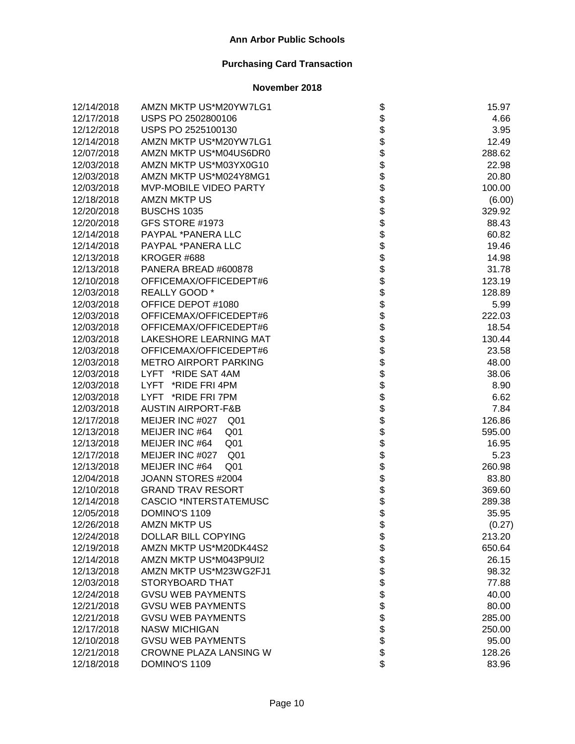| 12/14/2018 | AMZN MKTP US*M20YW7LG1            | \$                           | 15.97  |
|------------|-----------------------------------|------------------------------|--------|
| 12/17/2018 | USPS PO 2502800106                |                              | 4.66   |
| 12/12/2018 | USPS PO 2525100130                |                              | 3.95   |
| 12/14/2018 | AMZN MKTP US*M20YW7LG1            |                              | 12.49  |
| 12/07/2018 | AMZN MKTP US*M04US6DR0            |                              | 288.62 |
| 12/03/2018 | AMZN MKTP US*M03YX0G10            |                              | 22.98  |
| 12/03/2018 | AMZN MKTP US*M024Y8MG1            |                              | 20.80  |
| 12/03/2018 | MVP-MOBILE VIDEO PARTY            |                              | 100.00 |
| 12/18/2018 | AMZN MKTP US                      |                              | (6.00) |
| 12/20/2018 | <b>BUSCHS 1035</b>                |                              | 329.92 |
| 12/20/2018 | GFS STORE #1973                   |                              | 88.43  |
| 12/14/2018 | PAYPAL *PANERA LLC                |                              | 60.82  |
| 12/14/2018 | PAYPAL *PANERA LLC                |                              | 19.46  |
| 12/13/2018 | KROGER #688                       |                              | 14.98  |
| 12/13/2018 | PANERA BREAD #600878              |                              | 31.78  |
| 12/10/2018 | OFFICEMAX/OFFICEDEPT#6            |                              | 123.19 |
| 12/03/2018 | REALLY GOOD *                     |                              | 128.89 |
| 12/03/2018 | OFFICE DEPOT #1080                |                              | 5.99   |
| 12/03/2018 | OFFICEMAX/OFFICEDEPT#6            |                              | 222.03 |
| 12/03/2018 | OFFICEMAX/OFFICEDEPT#6            |                              | 18.54  |
| 12/03/2018 | LAKESHORE LEARNING MAT            |                              | 130.44 |
| 12/03/2018 | OFFICEMAX/OFFICEDEPT#6            |                              | 23.58  |
| 12/03/2018 | <b>METRO AIRPORT PARKING</b>      |                              | 48.00  |
| 12/03/2018 | LYFT *RIDE SAT 4AM                |                              | 38.06  |
| 12/03/2018 | LYFT *RIDE FRI 4PM                |                              | 8.90   |
| 12/03/2018 | LYFT *RIDE FRI 7PM                |                              | 6.62   |
| 12/03/2018 | <b>AUSTIN AIRPORT-F&amp;B</b>     |                              | 7.84   |
| 12/17/2018 | MEIJER INC #027 Q01               |                              | 126.86 |
| 12/13/2018 | MEIJER INC #64<br>Q <sub>01</sub> |                              | 595.00 |
| 12/13/2018 | MEIJER INC #64<br>Q01             |                              | 16.95  |
| 12/17/2018 | MEIJER INC #027 Q01               |                              | 5.23   |
| 12/13/2018 | MEIJER INC #64<br>Q <sub>01</sub> |                              | 260.98 |
| 12/04/2018 | JOANN STORES #2004                |                              | 83.80  |
| 12/10/2018 | <b>GRAND TRAV RESORT</b>          |                              | 369.60 |
| 12/14/2018 | <b>CASCIO *INTERSTATEMUSC</b>     |                              | 289.38 |
| 12/05/2018 | DOMINO'S 1109                     |                              | 35.95  |
| 12/26/2018 | AMZN MKTP US                      | \$                           | (0.27) |
| 12/24/2018 | DOLLAR BILL COPYING               |                              | 213.20 |
| 12/19/2018 | AMZN MKTP US*M20DK44S2            |                              | 650.64 |
| 12/14/2018 | AMZN MKTP US*M043P9UI2            |                              | 26.15  |
| 12/13/2018 | AMZN MKTP US*M23WG2FJ1            |                              | 98.32  |
| 12/03/2018 | STORYBOARD THAT                   |                              | 77.88  |
| 12/24/2018 | <b>GVSU WEB PAYMENTS</b>          |                              | 40.00  |
| 12/21/2018 | <b>GVSU WEB PAYMENTS</b>          |                              | 80.00  |
| 12/21/2018 | <b>GVSU WEB PAYMENTS</b>          | \$\$\$\$\$\$\$\$\$\$\$\$\$\$ | 285.00 |
| 12/17/2018 | <b>NASW MICHIGAN</b>              |                              | 250.00 |
| 12/10/2018 | <b>GVSU WEB PAYMENTS</b>          |                              | 95.00  |
| 12/21/2018 | CROWNE PLAZA LANSING W            |                              | 128.26 |
| 12/18/2018 | DOMINO'S 1109                     |                              | 83.96  |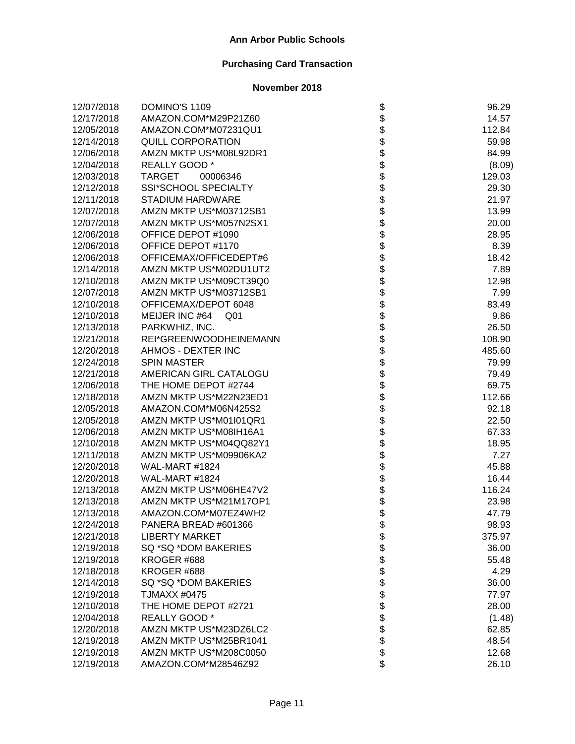| 12/07/2018 | DOMINO'S 1109                     |                                      | 96.29  |
|------------|-----------------------------------|--------------------------------------|--------|
| 12/17/2018 | AMAZON.COM*M29P21Z60              |                                      | 14.57  |
| 12/05/2018 | AMAZON.COM*M07231QU1              |                                      | 112.84 |
| 12/14/2018 | <b>QUILL CORPORATION</b>          |                                      | 59.98  |
| 12/06/2018 | AMZN MKTP US*M08L92DR1            |                                      | 84.99  |
| 12/04/2018 | REALLY GOOD *                     |                                      | (8.09) |
| 12/03/2018 | TARGET<br>00006346                |                                      | 129.03 |
| 12/12/2018 | SSI*SCHOOL SPECIALTY              |                                      | 29.30  |
| 12/11/2018 | <b>STADIUM HARDWARE</b>           |                                      | 21.97  |
| 12/07/2018 | AMZN MKTP US*M03712SB1            |                                      | 13.99  |
| 12/07/2018 | AMZN MKTP US*M057N2SX1            |                                      | 20.00  |
| 12/06/2018 | OFFICE DEPOT #1090                |                                      | 28.95  |
| 12/06/2018 | OFFICE DEPOT #1170                |                                      | 8.39   |
| 12/06/2018 | OFFICEMAX/OFFICEDEPT#6            |                                      | 18.42  |
| 12/14/2018 | AMZN MKTP US*M02DU1UT2            |                                      | 7.89   |
| 12/10/2018 | AMZN MKTP US*M09CT39Q0            |                                      | 12.98  |
| 12/07/2018 | AMZN MKTP US*M03712SB1            |                                      | 7.99   |
| 12/10/2018 | OFFICEMAX/DEPOT 6048              |                                      | 83.49  |
| 12/10/2018 | MEIJER INC #64<br>Q <sub>01</sub> |                                      | 9.86   |
| 12/13/2018 | PARKWHIZ, INC.                    |                                      | 26.50  |
| 12/21/2018 | REI*GREENWOODHEINEMANN            |                                      | 108.90 |
| 12/20/2018 | AHMOS - DEXTER INC                |                                      | 485.60 |
| 12/24/2018 | <b>SPIN MASTER</b>                |                                      | 79.99  |
| 12/21/2018 | AMERICAN GIRL CATALOGU            |                                      | 79.49  |
| 12/06/2018 | THE HOME DEPOT #2744              |                                      | 69.75  |
| 12/18/2018 | AMZN MKTP US*M22N23ED1            | ֍֎֍֍֍֍֍֍֍֍֍֍֍֍֍֍֍֍֍֍֍֍֍֍֍֍֍֍֍֍֍֍֍֍֍֍ | 112.66 |
| 12/05/2018 | AMAZON.COM*M06N425S2              |                                      | 92.18  |
| 12/05/2018 | AMZN MKTP US*M01I01QR1            |                                      | 22.50  |
| 12/06/2018 | AMZN MKTP US*M08IH16A1            |                                      | 67.33  |
| 12/10/2018 | AMZN MKTP US*M04QQ82Y1            |                                      | 18.95  |
| 12/11/2018 | AMZN MKTP US*M09906KA2            |                                      | 7.27   |
| 12/20/2018 | WAL-MART #1824                    |                                      | 45.88  |
| 12/20/2018 | WAL-MART #1824                    |                                      | 16.44  |
| 12/13/2018 | AMZN MKTP US*M06HE47V2            |                                      | 116.24 |
| 12/13/2018 | AMZN MKTP US*M21M17OP1            |                                      | 23.98  |
| 12/13/2018 | AMAZON.COM*M07EZ4WH2              |                                      | 47.79  |
| 12/24/2018 | PANERA BREAD #601366              | Φ                                    | 98.93  |
| 12/21/2018 | <b>LIBERTY MARKET</b>             |                                      | 375.97 |
| 12/19/2018 | SQ *SQ *DOM BAKERIES              |                                      | 36.00  |
| 12/19/2018 | KROGER #688                       |                                      | 55.48  |
| 12/18/2018 | KROGER #688                       |                                      | 4.29   |
| 12/14/2018 | SQ *SQ *DOM BAKERIES              |                                      | 36.00  |
| 12/19/2018 | <b>TJMAXX #0475</b>               |                                      | 77.97  |
| 12/10/2018 | THE HOME DEPOT #2721              |                                      | 28.00  |
| 12/04/2018 | REALLY GOOD *                     | <b>88888888888</b>                   | (1.48) |
| 12/20/2018 | AMZN MKTP US*M23DZ6LC2            |                                      | 62.85  |
| 12/19/2018 | AMZN MKTP US*M25BR1041            |                                      | 48.54  |
| 12/19/2018 | AMZN MKTP US*M208C0050            |                                      | 12.68  |
| 12/19/2018 | AMAZON.COM*M28546Z92              | \$                                   | 26.10  |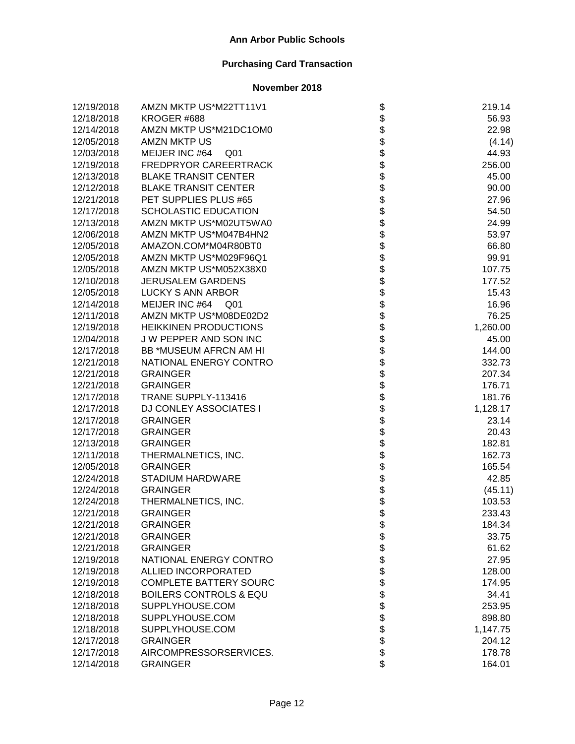| 12/19/2018 | AMZN MKTP US*M22TT11V1            |                    | 219.14   |
|------------|-----------------------------------|--------------------|----------|
| 12/18/2018 | KROGER #688                       |                    | 56.93    |
| 12/14/2018 | AMZN MKTP US*M21DC1OM0            |                    | 22.98    |
| 12/05/2018 | <b>AMZN MKTP US</b>               |                    | (4.14)   |
| 12/03/2018 | MEIJER INC #64<br>Q01             |                    | 44.93    |
| 12/19/2018 | FREDPRYOR CAREERTRACK             |                    | 256.00   |
| 12/13/2018 | <b>BLAKE TRANSIT CENTER</b>       |                    | 45.00    |
| 12/12/2018 | <b>BLAKE TRANSIT CENTER</b>       |                    | 90.00    |
| 12/21/2018 | PET SUPPLIES PLUS #65             |                    | 27.96    |
| 12/17/2018 | SCHOLASTIC EDUCATION              |                    | 54.50    |
| 12/13/2018 | AMZN MKTP US*M02UT5WA0            |                    | 24.99    |
| 12/06/2018 | AMZN MKTP US*M047B4HN2            |                    | 53.97    |
| 12/05/2018 | AMAZON.COM*M04R80BT0              |                    | 66.80    |
| 12/05/2018 | AMZN MKTP US*M029F96Q1            |                    | 99.91    |
| 12/05/2018 | AMZN MKTP US*M052X38X0            |                    | 107.75   |
| 12/10/2018 | <b>JERUSALEM GARDENS</b>          |                    | 177.52   |
| 12/05/2018 | <b>LUCKY S ANN ARBOR</b>          |                    | 15.43    |
| 12/14/2018 | MEIJER INC #64<br>Q01             |                    | 16.96    |
| 12/11/2018 | AMZN MKTP US*M08DE02D2            |                    | 76.25    |
| 12/19/2018 | <b>HEIKKINEN PRODUCTIONS</b>      |                    | 1,260.00 |
| 12/04/2018 | J W PEPPER AND SON INC            |                    | 45.00    |
| 12/17/2018 | BB *MUSEUM AFRCN AM HI            |                    | 144.00   |
| 12/21/2018 | NATIONAL ENERGY CONTRO            |                    | 332.73   |
| 12/21/2018 | <b>GRAINGER</b>                   |                    | 207.34   |
| 12/21/2018 | <b>GRAINGER</b>                   |                    | 176.71   |
| 12/17/2018 | TRANE SUPPLY-113416               |                    | 181.76   |
| 12/17/2018 | <b>DJ CONLEY ASSOCIATES I</b>     |                    | 1,128.17 |
| 12/17/2018 | <b>GRAINGER</b>                   |                    | 23.14    |
| 12/17/2018 | <b>GRAINGER</b>                   |                    | 20.43    |
| 12/13/2018 | <b>GRAINGER</b>                   |                    | 182.81   |
| 12/11/2018 | THERMALNETICS, INC.               |                    | 162.73   |
| 12/05/2018 | <b>GRAINGER</b>                   |                    | 165.54   |
| 12/24/2018 | <b>STADIUM HARDWARE</b>           |                    | 42.85    |
| 12/24/2018 | <b>GRAINGER</b>                   |                    | (45.11)  |
| 12/24/2018 | THERMALNETICS, INC.               |                    | 103.53   |
| 12/21/2018 | <b>GRAINGER</b>                   |                    | 233.43   |
| 12/21/2018 | <b>GRAINGER</b>                   | \$                 | 184.34   |
| 12/21/2018 | <b>GRAINGER</b>                   |                    | 33.75    |
| 12/21/2018 | <b>GRAINGER</b>                   |                    | 61.62    |
| 12/19/2018 | NATIONAL ENERGY CONTRO            |                    | 27.95    |
| 12/19/2018 | ALLIED INCORPORATED               |                    | 128.00   |
| 12/19/2018 | <b>COMPLETE BATTERY SOURC</b>     |                    | 174.95   |
| 12/18/2018 | <b>BOILERS CONTROLS &amp; EQU</b> |                    | 34.41    |
| 12/18/2018 | SUPPLYHOUSE.COM                   |                    | 253.95   |
| 12/18/2018 | SUPPLYHOUSE.COM                   |                    | 898.80   |
| 12/18/2018 | SUPPLYHOUSE.COM                   | <b>88888888888</b> | 1,147.75 |
| 12/17/2018 | <b>GRAINGER</b>                   |                    | 204.12   |
| 12/17/2018 | AIRCOMPRESSORSERVICES.            |                    | 178.78   |
| 12/14/2018 | <b>GRAINGER</b>                   | \$                 | 164.01   |